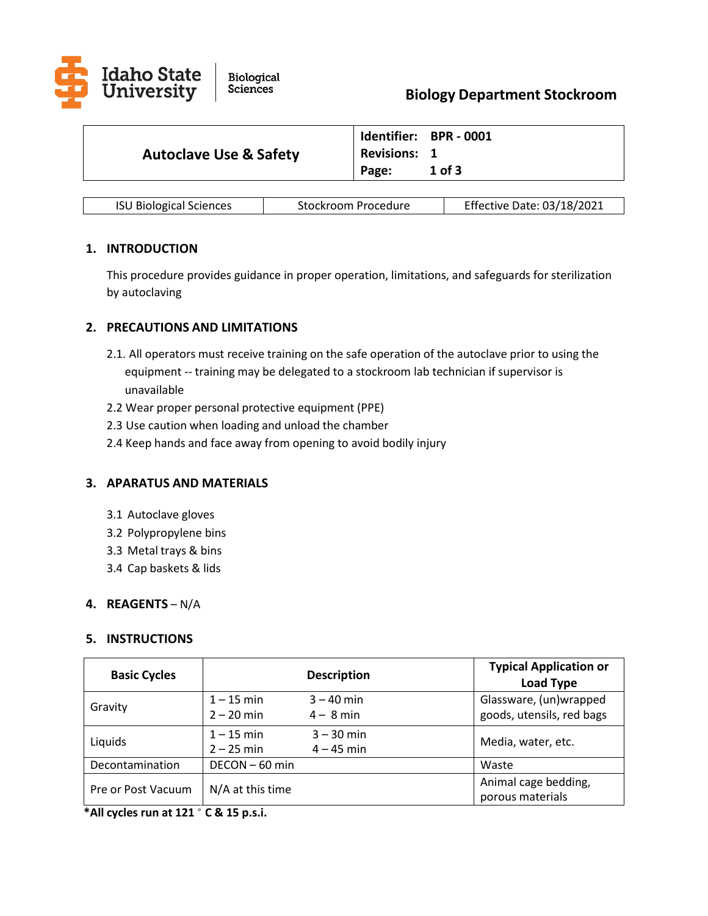

| <b>Autoclave Use &amp; Safety</b> | <b>Revisions: 1</b> | Identifier: BPR - 0001 |
|-----------------------------------|---------------------|------------------------|
|                                   | Page:               | $1$ of $3$             |

| <b>ISU Biological Sciences</b> | Stockroom Procedure | Effective Date: 03/18/2021 |
|--------------------------------|---------------------|----------------------------|
|--------------------------------|---------------------|----------------------------|

# **1. INTRODUCTION**

This procedure provides guidance in proper operation, limitations, and safeguards for sterilization by autoclaving

## **2. PRECAUTIONS AND LIMITATIONS**

- 2.1. All operators must receive training on the safe operation of the autoclave prior to using the equipment -- training may be delegated to a stockroom lab technician if supervisor is unavailable
- 2.2 Wear proper personal protective equipment (PPE)
- 2.3 Use caution when loading and unload the chamber
- 2.4 Keep hands and face away from opening to avoid bodily injury

# **3. APARATUS AND MATERIALS**

- 3.1 Autoclave gloves
- 3.2 Polypropylene bins
- 3.3 Metal trays & bins
- 3.4 Cap baskets & lids

### **4. REAGENTS** – N/A

### **5. INSTRUCTIONS**

| <b>Basic Cycles</b> |                              | <b>Description</b>           | <b>Typical Application or</b><br><b>Load Type</b>   |
|---------------------|------------------------------|------------------------------|-----------------------------------------------------|
| Gravity             | $1 - 15$ min<br>$2 - 20$ min | $3 - 40$ min<br>$4 - 8$ min  | Glassware, (un)wrapped<br>goods, utensils, red bags |
| Liquids             | $1 - 15$ min<br>$2 - 25$ min | $3 - 30$ min<br>$4 - 45$ min | Media, water, etc.                                  |
| Decontamination     | DECON-60 min                 |                              | Waste                                               |
| Pre or Post Vacuum  | N/A at this time             |                              | Animal cage bedding,<br>porous materials            |

**\*All cycles run at 121** ° **C & 15 p.s.i.**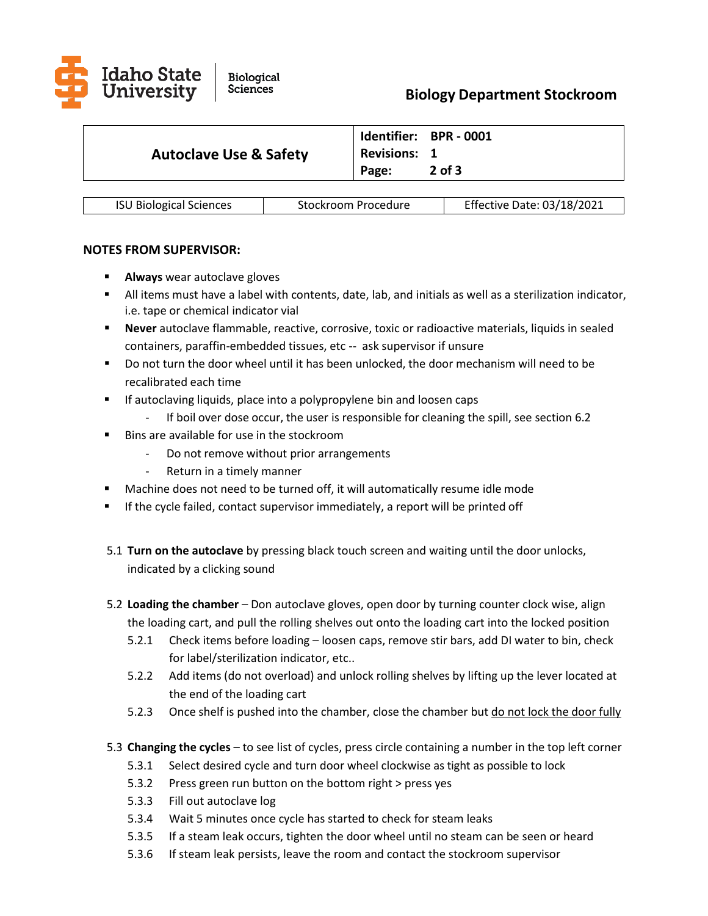

|                                   |                     | Identifier: BPR - 0001 |
|-----------------------------------|---------------------|------------------------|
| <b>Autoclave Use &amp; Safety</b> | <b>Revisions: 1</b> |                        |
|                                   | Page:               | $2$ of $3$             |

|  | <b>ISU Biological Sciences</b> | Stockroom Procedure | Effective Date: 03/18/2021 |
|--|--------------------------------|---------------------|----------------------------|
|--|--------------------------------|---------------------|----------------------------|

## **NOTES FROM SUPERVISOR:**

- **Always** wear autoclave gloves
- All items must have a label with contents, date, lab, and initials as well as a sterilization indicator, i.e. tape or chemical indicator vial
- **Never** autoclave flammable, reactive, corrosive, toxic or radioactive materials, liquids in sealed containers, paraffin-embedded tissues, etc -- ask supervisor if unsure
- Do not turn the door wheel until it has been unlocked, the door mechanism will need to be recalibrated each time
- **If autoclaving liquids, place into a polypropylene bin and loosen caps**
- If boil over dose occur, the user is responsible for cleaning the spill, see section 6.2
- Bins are available for use in the stockroom
	- Do not remove without prior arrangements
	- Return in a timely manner
- Machine does not need to be turned off, it will automatically resume idle mode
- If the cycle failed, contact supervisor immediately, a report will be printed off
- 5.1 **Turn on the autoclave** by pressing black touch screen and waiting until the door unlocks, indicated by a clicking sound
- 5.2 **Loading the chamber**  Don autoclave gloves, open door by turning counter clock wise, align the loading cart, and pull the rolling shelves out onto the loading cart into the locked position
	- 5.2.1 Check items before loading loosen caps, remove stir bars, add DI water to bin, check for label/sterilization indicator, etc..
	- 5.2.2 Add items (do not overload) and unlock rolling shelves by lifting up the lever located at the end of the loading cart
	- 5.2.3 Once shelf is pushed into the chamber, close the chamber but do not lock the door fully
- 5.3 **Changing the cycles** to see list of cycles, press circle containing a number in the top left corner
	- 5.3.1 Select desired cycle and turn door wheel clockwise as tight as possible to lock
	- 5.3.2 Press green run button on the bottom right > press yes
	- 5.3.3 Fill out autoclave log
	- 5.3.4 Wait 5 minutes once cycle has started to check for steam leaks
	- 5.3.5 If a steam leak occurs, tighten the door wheel until no steam can be seen or heard
	- 5.3.6 If steam leak persists, leave the room and contact the stockroom supervisor